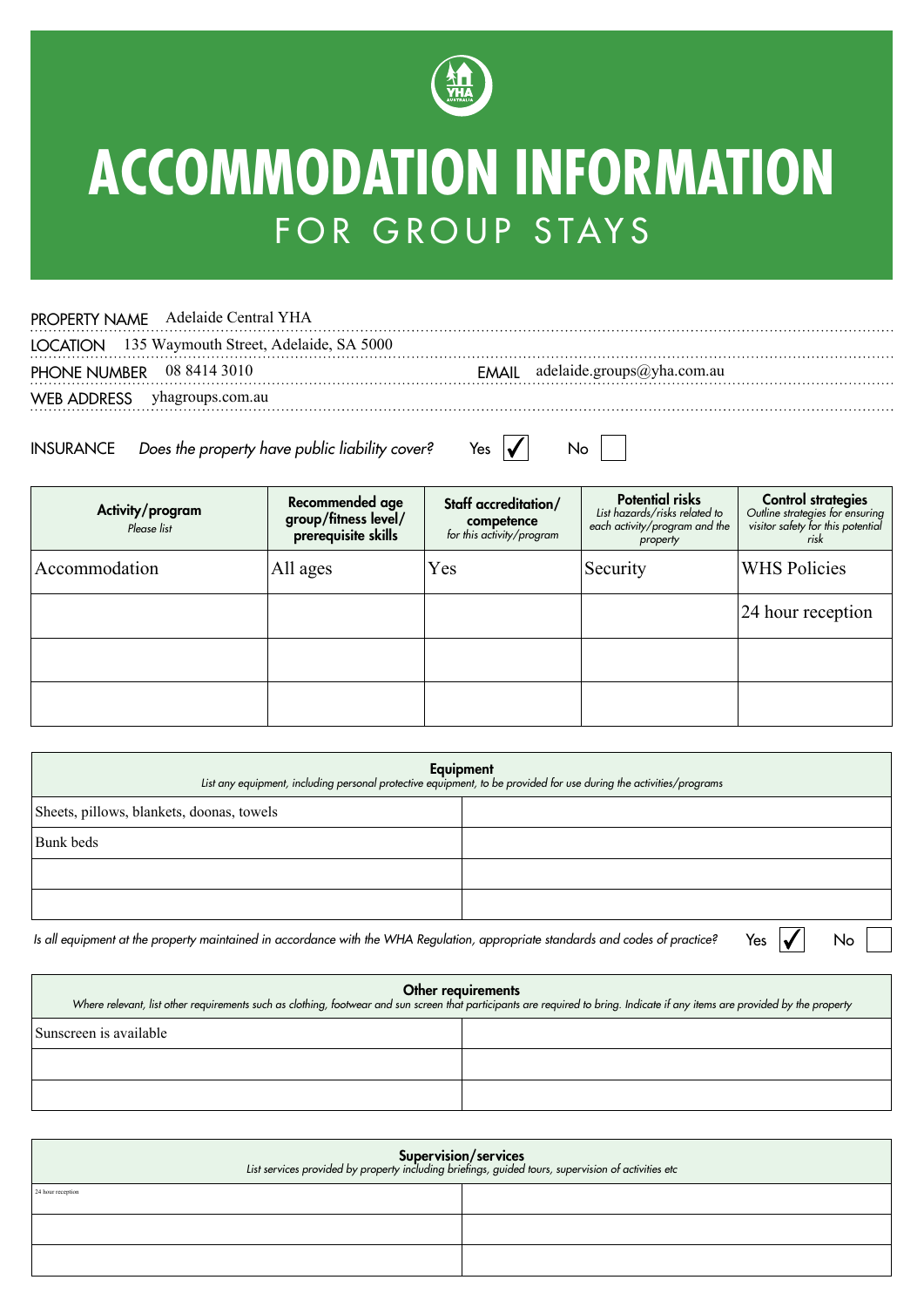

## **ACCOMMODATION INFORMATION** FOR GROUP STAYS

## PROPERTY NAME Adelaide Central YHA

LOCATION 135 Waymouth Street, Adelaide, SA 5000 EMAIL adelaide.groups@yha.com.au PHONE NUMBER EMAIL 08 8414 3010 WEB ADDRESS yhagroups.com.au 

INSURANCE Does the property have public liability cover?

| Yes. |   | N٥ |  |
|------|---|----|--|
|      | v |    |  |

| Activity/program<br>Please list | Recommended age<br>group/fitness level/<br>prerequisite skills | Staff accreditation/<br><b>competence</b><br>for this activity/program | <b>Potential risks</b><br>List hazards/risks related to<br>each activity/program and the<br>property | <b>Control strategies</b><br>Outline strategies for ensuring<br>visitor safety for this potential<br>risk |
|---------------------------------|----------------------------------------------------------------|------------------------------------------------------------------------|------------------------------------------------------------------------------------------------------|-----------------------------------------------------------------------------------------------------------|
| Accommodation                   | All ages                                                       | Yes                                                                    | Security                                                                                             | <b>WHS Policies</b>                                                                                       |
|                                 |                                                                |                                                                        |                                                                                                      | 24 hour reception                                                                                         |
|                                 |                                                                |                                                                        |                                                                                                      |                                                                                                           |
|                                 |                                                                |                                                                        |                                                                                                      |                                                                                                           |

| Equipment<br>List any equipment, including personal protective equipment, to be provided for use during the activities/programs |  |  |  |
|---------------------------------------------------------------------------------------------------------------------------------|--|--|--|
| Sheets, pillows, blankets, doonas, towels                                                                                       |  |  |  |
| Bunk beds                                                                                                                       |  |  |  |
|                                                                                                                                 |  |  |  |
|                                                                                                                                 |  |  |  |
|                                                                                                                                 |  |  |  |

Is all equipment at the property maintained in accordance with the WHA Regulation, appropriate standards and codes of practice?

No

Yes  $\vert \blacktriangledown \vert$ 

| <b>Other requirements</b><br>Where relevant, list other requirements such as clothing, footwear and sun screen that participants are required to bring. Indicate if any items are provided by the property |  |  |  |  |
|------------------------------------------------------------------------------------------------------------------------------------------------------------------------------------------------------------|--|--|--|--|
| Sunscreen is available                                                                                                                                                                                     |  |  |  |  |
|                                                                                                                                                                                                            |  |  |  |  |
|                                                                                                                                                                                                            |  |  |  |  |

| Supervision/services<br>List services provided by property including briefings, guided tours, supervision of activities etc |  |  |  |  |
|-----------------------------------------------------------------------------------------------------------------------------|--|--|--|--|
| 24 hour reception                                                                                                           |  |  |  |  |
|                                                                                                                             |  |  |  |  |
|                                                                                                                             |  |  |  |  |